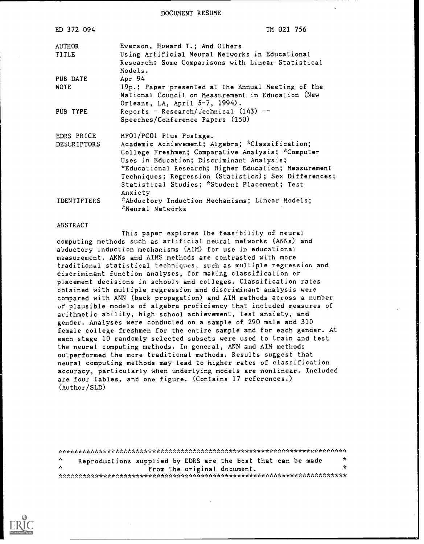DOCUMENT RESUME

| ED 372 094         | TM 021 756                                               |
|--------------------|----------------------------------------------------------|
| AUTHOR             | Everson, Howard T.; And Others                           |
| TITLE              | Using Artificial Neural Networks in Educational          |
|                    | Research: Some Comparisons with Linear Statistical       |
|                    | Models.                                                  |
| PUB DATE           | Apr 94                                                   |
| <b>NOTE</b>        | 19p.; Paper presented at the Annual Meeting of the       |
|                    | National Council on Measurement in Education (New        |
|                    | Orleans, LA, April 5-7, 1994).                           |
| PUB TYPE           | Reports - Research/rechnical $(143)$ --                  |
|                    | Speeches/Conference Papers (150)                         |
| EDRS PRICE         | MF01/PC01 Plus Postage.                                  |
| <b>DESCRIPTORS</b> | Academic Achievement; Algebra; *Classification;          |
|                    | College Freshmen; Comparative Analysis; "Computer        |
|                    | Uses in Education; Discriminant Analysis;                |
|                    | *Educational Research; Higher Education; Measurement     |
|                    | Techniques; Regression (Statistics); Sex Differences;    |
|                    | Statistical Studies; *Student Placement; Test<br>Anxiety |
| <b>IDENTIFIERS</b> | *Abductory Induction Mechanisms; Linear Models;          |
|                    | *Neural Networks                                         |

#### ABSTRACT

This paper explores the feasibility of neural computing methods such as artificial neural networks (ANNs) and abductory induction mechanisms (AIM) for use in educational measurement. ANNs and AIMS methods are contrasted with more traditi.onal statistical techniques, such as multiple regression and discriminant function analyses, for making classification or placement decisions in schools and colleges. Classification rates obtained with multiple regression and discriminant analysis were compared with ANN (back propagation) and AIM methods across a number uf plausible models of algebra proficiency that included measures of arithmetic ability, high school achievement, test anxiety, and gender. Analyses were conducted on a sample of 290 male and 310 female college freshmen for the entire sample and for each gender. At each stage 10 randomly selected subsets were used to train and test the neural computing methods. In general, ANN and AIM methods outperformed the more traditional methods. Results suggest that neural computing methods may lead to higher rates of classification accuracy, particularly when underlying models are nonlinear. Included are four tables, and one figure. (Contains 17 references.) (Author/SLD)

\*\*\*\*\*\*\*\*\*\*\*\*\*\*\*\*\*\*\*\*\*\*\*\*\*\*\*\*\*\*\*\*\*\*\*\*\*\*\*\*\*\*\*\*\*\*\*\*\*\*\*\*\*\*\*\*\*\*\*\*\*\*\*\*\*\*\*\*\*\*\* \* Reproductions supplied by EDRS are the best that can be made  $\frac{1}{2}$ from the original document. \*\*\*\*\*\*\*\*\*\*\*\*\*\*\*\*\*\*\*\*\*\*\*\*\*\*\*\*\*\*\*\*\*\*\*\*\*\*\*\*\*\*\*\*\*\*\*\*\*\*\*\*\*\*\*\*\*\*\*\*\*\*\*\*\*\*\*\*\*\*\*

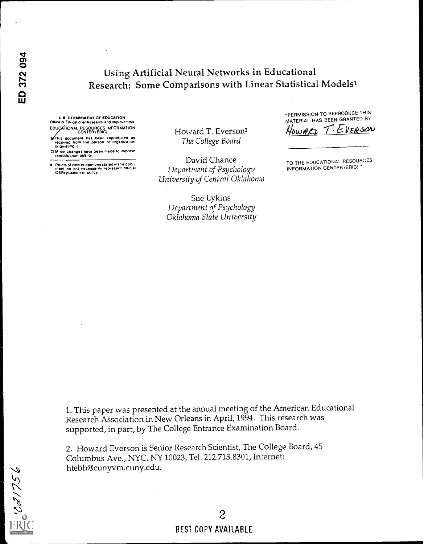E 1021756

# Using Artificial Neural Networks in Educational Research: Some Comparisons with Linear Statistical Modelsl

U.S. DEPARTMENT OF EDUCATION Office ist Educattonai ReseacCh and improvement EDUCATIONAL RESOURCES INFORMATION<br>CENTER (ERIC)

This document has been reproduced as received horn the person or organiration ongtnafing

0 Mmot changes have been made to improve reproduction outfity

Points of view or opinions stated in this docu.<br>ment: do: not: necessarily represent: official<br>OERI position or policy

Howard T. Everson<sup>2</sup> MownED The College Board

David Chance Department of Psychology University of Central Oklahoma

Sue Lykins Department of Psychology Oklahoma State University

-PERMISSION TO REPRODUCE THIS MATERIAL HAS BEEN GRANTED BY

 $T.EVER50V$ 

TO THE EDUCATIONAL RESOURCES INFORMATION CENTER (ERIC)

1. This paper was presented at the annual meeting of the American Educational Research Association in New Orleans in April, 1994. This research was supported, in part, by The College Entrance Examination Board.

2. Howard Everson is Senior Research Scientist, The College Board, 45 Columbus Ave., NYC, NY 10023, Tel. 212.713.8301, Internet: htebh@cunyvm.cuny.edu.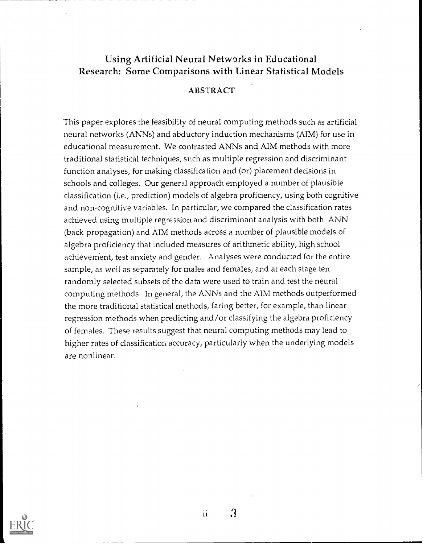## Using Artificial Neural Networks in Educational Research: Some Comparisons with Linear Statistical Models

## ABSTRACT

This paper explores the feasibility of neural computing methods such as artificial neural networks (ANNs) and abductory induction mechanisms (AIM) for use in educational measurement. We contrasted ANNs and AIM methods with more traditional statistical techniques, such as multiple regression and discriminant function analyses, for making classification and (or) placement decisions in schools and colleges. Our general. approach employed a number of plausible classification (i.e., prediction) models of algebra proficiency, using both cognitive and non-cognitive variables. In particular, we compared the classification rates achieved using multiple regression and discriminant analysis with both ANN (back propagation) and AIM methods across a number of plausible models of algebra proficiency that included measures of arithmetic ability, high school achievement, test anxiety and gender. Analyses were conducted for the entire sample, as well as separately for males and females, and at each stage ten randomly selected subsets of the data were used to train and test the neural computing methods. In general, the ANNs and the AIM methods outperformed the more traditional statistical methods, faring better, for example, than linear regression methods when predicting and/or classifying the algebra proficiency of females. These results suggest that neural computing methods may lead to higher rates of classification accuracy, particularly when the underlying models are nonlinear.



ii.

 $\Omega$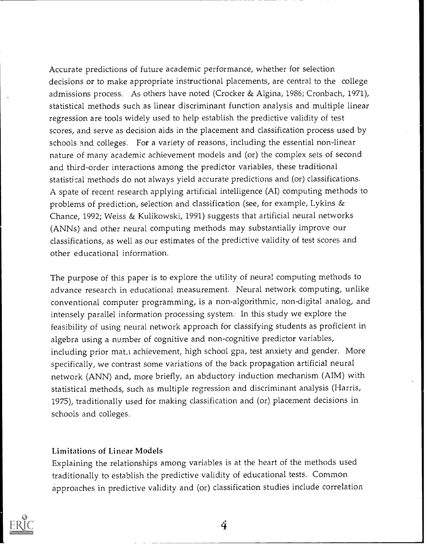Accurate predictions of future academic performance, whether for selection decisions or to make appropriate instructional placements, are central to the college admissions process. As others have noted (Crocker & Algina, 1986; Cronbach, 1971), statistical methods such as linear discriminant function analysis and multiple linear regression are tools widely used to help establish the predictive validity of test scores, and serve as decision aids in the placement and classification process used by schools and colleges. For a variety of reasons, including the essential non-linear nature of many academic achievement models and (or) the complex sets of second and third-order interactions among the predictor variables, these traditional statistical methods do not always yield accurate predictions and (or) classifications. A spate of recent research applying artificial intelligence (AI) computing methods to problems of prediction, selection and classification (see, for example, Lykins & Chance, 1992; Weiss & Kulikowski, 1991) suggests that artificial neural networks (ANNs) and other neural computing methods may substantially improve our classifications, as well as our estimates of the predictive validity of test scores and other educational information.

The purpose of this paper is to explore the utility of neural computing methods to advance research in educational measurement. Neural network computing, unlike conventional computer programming, is a non-algorithmic, non-digital analog, and intensely parallel information processing system. In this study we explore the feasibility of using neural network approach for classifying students as proficient in algebra using a number of cognitive and non-cognitive predictor variables, including prior mat.1 achievement, high school gpa, test anxiety and gender. More specifically, we contrast some variations of the back propagation artificial neural network (ANN) and, more briefly, an abductory induction mechanism (AIM) with statistical methods, such as multiple regression and discriminant analysis (Harris, 1975), traditionally used for making classification and (or) placement decisions in schools and colleges.

## Limitations of Linear Models

Explaining the relationships among variables is at the heart of the methods used traditionally to establish the predictive validity of educational tests. Common approaches in predictive validity and (or) classification studies include correlation

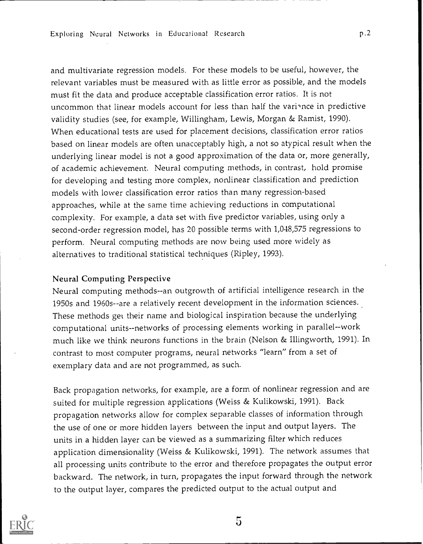and multivariate regression models. For these models to be useful, however, the relevant variables must be measured with as little error as possible, and the models must fit the data and produce acceptable classification error ratios. It is not uncommon that linear models account for less than half the varince in predictive validity studies (see, for example, Willingham, Lewis, Morgan & Ramist, 1990). When educational tests are used for placement decisions, classification error ratios based on linear models are often unacceptably high, a not so atypical result when the underlying linear model is not a good approximation of the data or, more generally, of academic achievement. Neural computing methods, in contrast, hold promise for developing and testing more complex, nonlinear classification and prediction models with lower classification error ratios than many regression-based approaches, while at the same time achieving reductions in computational complexity. For example, a data set with five predictor variables, using only a second-order regression model, has 20 possible terms with 1,048,575 regressions to perform. Neural computing methods are now being used more widely as alternatives to traditional statistical techniques (Ripley, 1993).

#### Neural Computing Perspective

Neural computing methods--an outgrowth of artificial intelligence research in the 1950s and 1960s--are a relatively recent development in the information sciences. These methods get their name and biological inspiration because the underlying computational units--networks of processing elements working in parallel--work much like we think neurons functions in the brain (Nelson & Illingworth, 1991). In contrast to most computer programs, neural networks "learn" from a set of exemplary data and are not programmed, as such.

Back propagation networks, for example, are a form of nonlinear regression and are suited for multiple regression applications (Weiss & Kulikowski, 1991). Back propagation networks allow for complex separable classes of information through the use of one or more hidden layers between the input and output layers. The units in a hidden layer can be viewed as a summarizing filter which reduces application dimensionality (Weiss & Kulikowski, 1991). The network assumes that all processing units contribute to the error and therefore propagates the output error backward. The network, in turn, propagates the input forward through the network to the output layer, compares the predicted output to the actual output and



 $\overline{5}$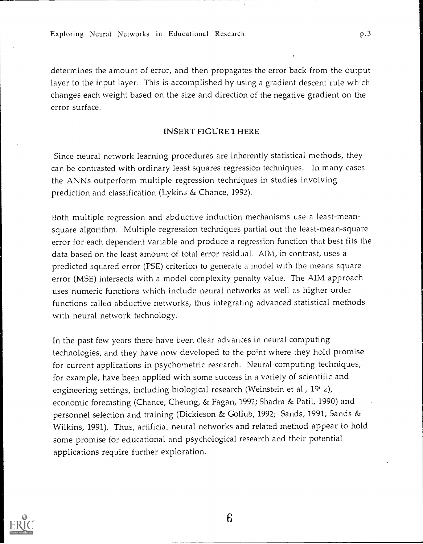determines the amount of error, and then propagates the error back from the output layer to the input layer. This is accomplished by using a gradient descent rule which changes each weight based on the size and direction of the negative gradient on the error surface.

#### INSERT FIGURE 1 HERE

Since neural network learning procedures are inherently statistical methods, they can be contrasted with ordinary least squares regression techniques. In many cases the ANNs outperform multiple regression techniques in studies involving prediction and classification (Lykins & Chance, 1992).

Both multiple regression and abductive induction mechanisms use a least-meansquare algorithm. Multiple regression techniques partial out the least-mean-square error for each dependent variable and produce a regression function that best fits the data based on the least amount of total error residual. AIM, in contrast, uses a predicted squared error (PSE) criterion to generate a model with the means square error (MSE) intersects with a model complexity penalty value. The AIM approach uses numeric functions which include neural networks as well as higher order functions called abductive networks, thus integrating advanced statistical methods with neural network technology.

In the past few years there have been clear advances in neural computing technologies, and they have now developed to the point where they hold promise for current applications in psychometric research. Neural computing techniques, for example, have been applied with some success in a variety of scientific and engineering settings, including biological research (Weinstein et al.,  $19^{\circ}$  z), economic forecasting (Chance, Cheung, & Fagan, 1992; Shadra & Patil, 1990) and personnel selection and training (Dickieson & Gollub, 1992; Sands, 1991; Sands & Wilkins, 1991). Thus, artificial neural networks and related method appear to hold some promise for educational and psychological research and their potential applications require further exploration.

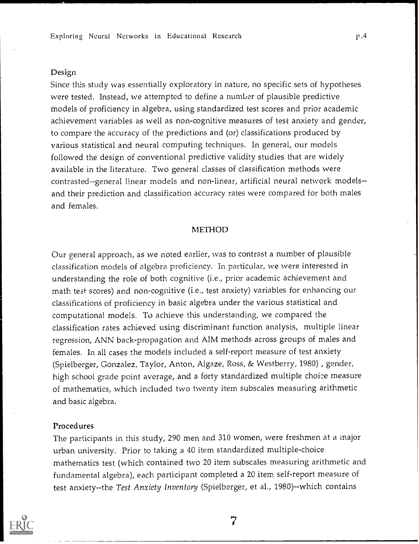#### Design

Since this study was essentially exploratory in nature, no specific sets of hypotheses were tested. Instead, we attempted to define a number of plausible predictive models of proficiency in algebra, using standardized test scores and prior academic achievement variables as well as non-cognitive measures of test anxiety and gender, to compare the accuracy of the predictions and (or) classifications produced by various statistical and neural computing techniques. In general, our models followed the design of conventional predictive validity studies that are widely available in the literature. Two general classes of classification methods were contrasted--general linear models and non-linear, artificial neural network models- and their prediction and classification accuracy rates were compared for both males and females.

### METHOD

Our general approach, as we noted earlier, was to contrast a number of plausible classification models of algebra proficiency. In particular, we were interested in understanding the role of both cognitive (i.e., prior academic achievement and math test scores) and non-cognitive (i.e., test anxiety) variables for enhancing our classifications of proficiency in basic algebra under the various statistical and computational models. To achieve this understanding, we compared the classification rates achieved using discriminant function analysis, multiple linear regression, ANN back-propagation and AIM methods across groups of males and females. In all cases the models included a self-report measure of test anxiety (Spielberger, Gonzalez, Taylor, Anton, Algaze, Ross, & Westberry, 1980) , gender, high school grade point average, and a forty standardized multiple choice measure of mathematics, which included two twenty item subscales measuring arithmetic and basic algebra.

#### Procedures

The participants in this study, 290 men and 310 women, were freshmen at a major urban university. Prior to taking a 40 item standardized multiple-choice mathematics test (which contained two 20 item subscales measuring arithmetic and fundamental algebra), each participant completed a 20 item self-report measure of test anxiety--the Test Anxiety Inventory (Spielberger, et al., 1980)--which contains

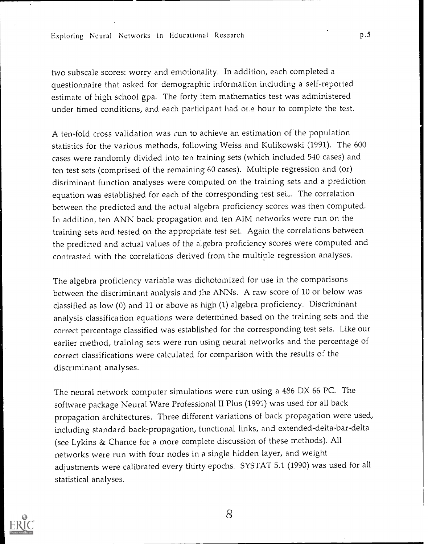two subscale scores: worry and emotionality. In addition, each completed a questionnaire that asked for demographic information including a self-reported estimate of high school gpa. The forty item mathematics test was administered under timed conditions, and each participant had oi.e hour to complete the test.

A ten-fold cross validation was fun to achieve an estimation of the population statistics for the various methods, following Weiss and Kulikowski (1991). The 600 cases were randomly divided into ten training sets (which included 540 cases) and ten test sets (comprised of the remaining 60 cases). Multiple regression and (or) disriminant function analyses were computed on the training sets and a prediction equation was established for each of the corresponding test set. The correlation between the predicted and the actual algebra proficiency scores was then computed. In addition, ten ANN back propagation and ten AIM networks were run on the training sets and tested on the appropriate test set. Again the correlations between the predicted and actual values of the algebra proficiency scores were computed and contrasted with the correlations derived from the multiple regression analyses.

The algebra proficiency variable was dichotomized for use in the comparisons between the discriminant analysis and the ANNs. A raw score of 10 or below was classified as low (0) and 11 or above as high (1) algebra proficiency. Discriminant analysis classification equations were determined based on the training sets and the correct percentage classified was established for the corresponding test sets. Like our earlier method, training sets were run using neural networks and the percentage of correct classifications were calculated for comparison with the results of the discriminant analyses.

The neural network computer simulations were run using a 486 DX 66 PC. The software package Neural Ware Professional II Plus (1991) was used for all back propagation architectures. Three different variations of back propagation were used, including standard back-propagation, functional links, and extended-delta-bar-delta (see Lykins & Chance for a more complete discussion of these methods). All networks were run with four nodes in a single hidden layer, and weight adjustments were calibrated every thirty epochs. SYSTAT 5.1 (1990) was used for all statistical analyses.



8

p.5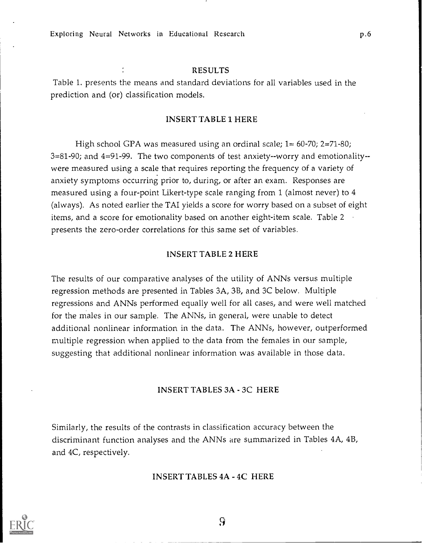Exploring Neural Networks in Educational Research p.6

#### RESULTS

Table 1. presents the means and standard deviations for all variables used in the prediction and (or) classification models.

#### INSERT TABLE 1 HERE

High school GPA was measured using an ordinal scale;  $1 = 60-70$ ;  $2=71-80$ ; 3=81-90; and 4=91-99. The two components of test anxiety--worry and emotionality- were measured using a scale that requires reporting the frequency of a variety of anxiety symptoms occurring prior to, during, or after an exam. Responses are measured using a four-point Likert-type scale ranging from 1 (almost never) to 4 (always). As noted earlier the TAI yields a score for worry based on a subset of eight items, and a score for emotionality based on another eight-item scale. Table 2 presents the zero-order correlations for this same set of variables.

### INSERT TABLE 2 HERE

The results of our comparative analyses of the utility of ANNs versus multiple regression methods are presented in Tables 3A, 3B, and 3C below. Multiple regressions and ANNs performed equally well for all cases, and were well matched for the males in our sample. The ANNs, in general, were unable to detect additional nonlinear information in the data. The ANNs, however, outperformed multiple regression when applied to the data from the females in our sample, suggesting that additional nonlinear information was available in those data.

#### INSERT TABLES 3A - 3C HERE

Similarly, the results of the contrasts in classification accuracy between the discriminant function analyses and the ANNs are summarized in Tables 4A, 4B, and 4C, respectively.

#### INSERT TABLES 4A - 4C HERE

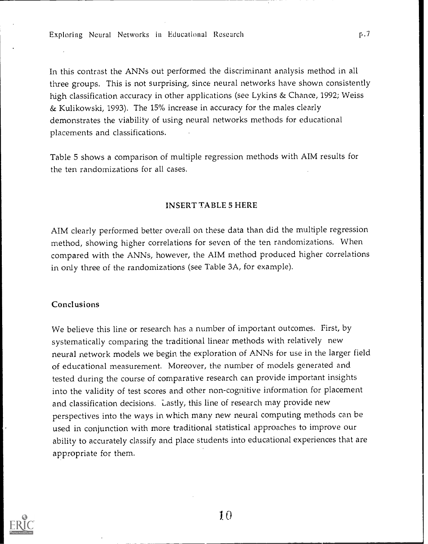Exploring Neural Networks in Educational Research

In this contrast the ANNs out performed the discriminant analysis method in all three groups. This is not surprising, since neural networks have shown consistently high classification accuracy in other applications (see Lykins & Chance, 1992; Weiss & Kulikowski, 1993). The 15% increase in accuracy for the males clearly demonstrates the viability of using neural networks methods for educational placements and classifications.

Table 5 shows a comparison of multiple regression methods with AIM results for the ten randomizations for all cases.

### INSERT TABLE 5 HERE

AIM clearly performed better overall on these data than did the multiple regression method, showing higher correlations for seven of the ten randomizations. When compared with the ANNs, however, the AIM method produced higher correla tions in only three of the randomizations (see Table 3A, for example).

### Conclusions

We believe this line or research has a number of important outcomes. First, by systematically comparing the traditional linear methods with relatively new neural network models we begin the exploration of ANNs for use in the larger field of educational measurement. Moreover, the number of models generated and tested during the course of comparative research can provide important insights into the validity of test scores and other non-cognitive information for placement and classification decisions. Lastly, this line of research may provide new perspectives into the ways in which many new neural computing methods can be used in conjunction with more traditional statistical approaches to improve our ability to accurately classify and place students into educational experiences that are appropriate for them.



1 0

 $r.7$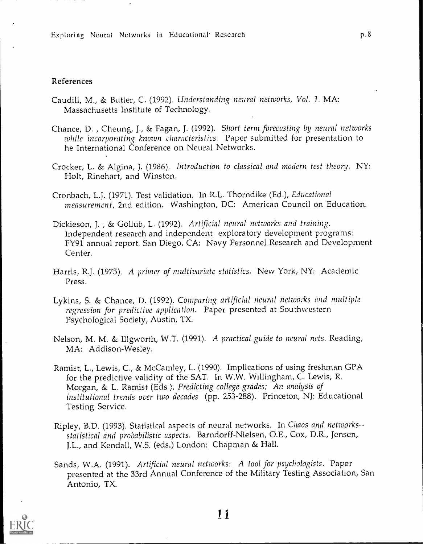#### References

- Caudill, M., & Butler, C. (1992). Understanding neural networks, Vol. 1. MA: Massachusetts Institute of Technology.
- Chance, D. , Cheung, J., & Fagan, J. (1992). Short term forecasting by neural networks while incorporating known characteristics. Paper submitted for presentation to he International Conference on Neural Networks.
- Crocker, L. & Algina, J. (1986). Introduction to classical and modern test theonj. NY: Holt, Rinehart, and Winston.
- Cronbach, L.J. (1971). Test validation. In R.L. Thorndike (Ed.), Educational measurement, 2nd edition. Washington, DC: American Council on Education.
- Dickieson, J., & Gollub, L. (1992). Artificial neural networks and training. Independent research and independent exploratory development programs: FY91 annual report. San Diego, CA: Navy Personnel Research and Development Center.
- Harris, R.J. (1975). A primer of multivariate statistics. New York, NY: Academic Press.
- Lykins, S. & Chance, D. (1992). Comparing artificial neural networks and multiple regression for predictive application. Paper presented at Southwestern Psychological Society, Austin, TX.
- Nelson, M. M. & Illgworth, W.T. (1991). A practical guide to neural nets. Reading, MA: Addison-Wesley.
- Ramist, L., Lewis, C., & McCamley, L. (1990). Implications of using freshman GPA for the predictive validity of the SAT. In W.W. Willingham, C. Lewis, R. Morgan, & L. Ramist (Eds.), Predicting college grades; An analysis of institutional trends over two decades (pp. 253-288). Princeton, NJ: Educational Testing Service.
- Ripley, B.D. (1993). Statistical aspects of neural networks. In Chaos and networks- statistical and probabilistic aspects. Barndorff-Nielsen, O.E., Cox, D.R., Jensen, J.L., and Kendall, W.S. (eds.) London: Chapman & Hall.
- Sands, W.A. (1991). Artificial neural networks: A tool for psychologists. Paper presented at the 33rd Annual Conference of the Military Testing Association, San Antonio, TX.

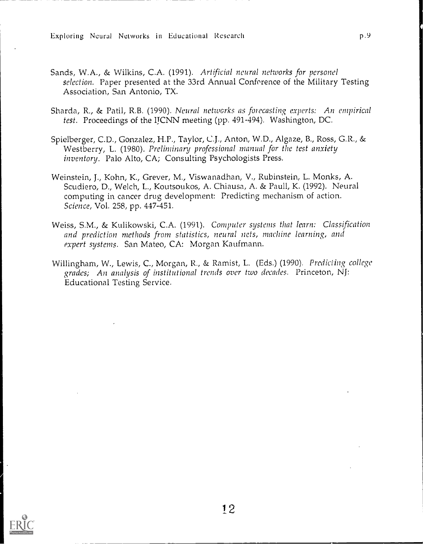Exploring Neural Networks in Educational Research exploring  $p.9$ 

- Sands, W.A., & Wilkins, C.A. (1991). Artificial neural networks for personel selection. Paper presented at the 33rd Annual Conforence of the Military Testing Association, San Antonio, TX.
- Sharda, R., & Patil, R.B. (1990). Neural networks as forecasting experts: An empirical test. Proceedings of the HCNN meeting (pp. 491-494). Washington, DC.
- Spielberger, C.D., Gonzalez, H.P., Taylor, C.J., Anton, W.D., Algaze, B., Ross, G.R., & Westberry, L. (1980). Preliminary professional manual for the test anxiety inventory. Palo Alto, CA; Consulting Psychologists Press.
- Weinstein, J., Kohn, K., Greyer, M., Viswanadhan, V., Rubinstein, L. Monks, A. Scudiero, D., Welch, L., Koutsoukos, A. Chiausa, A. & Paull, K. (1992). Neural computing in cancer drug development: Predicting mechanism of action. Science, Vol. 258, pp. 447-451.
- Weiss, S.M., & Kulikowski, C.A. (1991). Computer systems that learn: Classification and prediction methods from statistics, neural nets, machine learning, and expert systems. San Mateo, CA: Morgan Kaufmann.
- Willingham, W., Lewis, C., Morgan, R., & Ramist, L. (Eds.) (1990). Predicting college grades; An analysis of institutional trends over two decades. Princeton, NJ: Educational Testing Service.

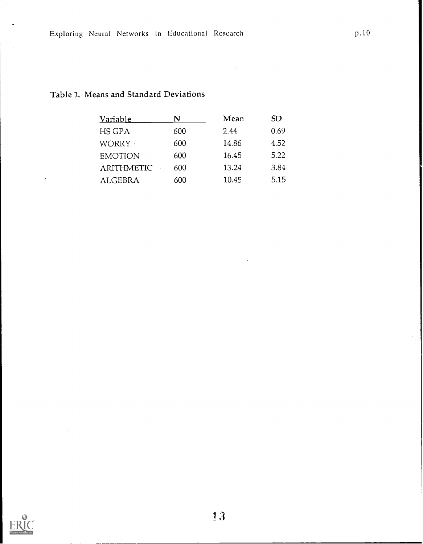## Table 1. Means and Standard Deviations

| Variable          | N   | Mean  | SD   |  |
|-------------------|-----|-------|------|--|
| HS GPA            | 600 | 2.44  | 0.69 |  |
| WORRY ·           | 600 | 14.86 | 4.52 |  |
| <b>EMOTION</b>    | 600 | 16.45 | 5.22 |  |
| <b>ARITHMETIC</b> | 600 | 13.24 | 3.84 |  |
| <b>ALGEBRA</b>    | 600 | 10.45 | 5.15 |  |

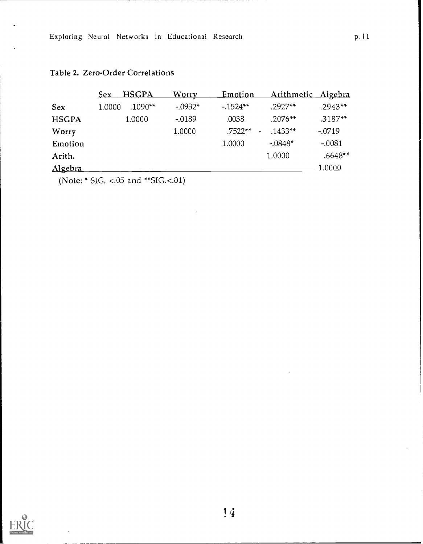## Table 2. Zero-Order Correlations

|              | <b>HSGPA</b><br><u>Sex</u> | <u>Worry</u> | <u>Emotion</u> | Arithmetic Algebra |           |
|--------------|----------------------------|--------------|----------------|--------------------|-----------|
| <b>Sex</b>   | $.1090**$<br>1.0000        | $-.0932*$    | $-0.1524**$    | $.2927**$          | $.2943**$ |
| <b>HSGPA</b> | 1.0000                     | $-0.0189$    | .0038          | $.2076**$          | $.3187**$ |
| Worry        |                            | 1.0000       | $.7522**$      | $.1433**$          | $-.0719$  |
| Emotion      |                            |              | 1.0000         | $-.0848*$          | $-.0081$  |
| Arith.       |                            |              |                | 1.0000             | .6648**   |
| Algebra      |                            |              |                |                    | 1.0000    |

(Note: \* SIG. <.05 and \*\*SIG.<.01)

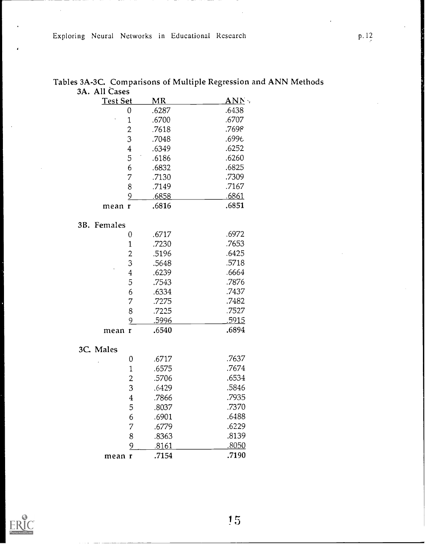Exploring Neural Networks in Educational Research p. 12

| 3A. All Cases<br>Test Set | MR            | $\overline{\rm \bf AND}$ . |
|---------------------------|---------------|----------------------------|
| 0                         | .6287         | .6438                      |
| 1                         | .6700         | .6707                      |
| $\overline{\mathbf{c}}$   | .7618         | .7698                      |
| 3                         | .7048         | .6996                      |
| $\overline{4}$            | .6349         | .6252                      |
| 5                         | .6186         | .6260                      |
| $\epsilon$                | .6832         | .6825                      |
| 7                         |               | .7309                      |
|                           | .7130         | .7167                      |
| 8                         | .7149         |                            |
| 9                         | <u>.6858 </u> | .6861                      |
| mean r                    | .6816         | .6851                      |
| 3B. Females               |               |                            |
| 0                         | .6717         | .6972                      |
| $\mathbf{1}$              | .7230         | .7653                      |
| $\overline{c}$            | .5196         | .6425                      |
| 3                         | .5648         | .5718                      |
| $\overline{4}$            | .6239         | .6664                      |
| 5                         | .7543         | .7876                      |
| 6                         | .6334         | .7437                      |
| 7                         | .7275         | .7482                      |
| 8                         | .7225         | .7527                      |
| 9                         | <u>.5996</u>  | <u>.5915</u>               |
| mean r                    | .6540         | .6894                      |
| 3C. Males                 |               |                            |
| 0                         | .6717         | .7637                      |
| $\mathbf{1}$              | .6575         | .7674                      |
| $\overline{c}$            | .5706         | .6534                      |
| 3                         | 6429          | 5846                       |
| $\overline{4}$            | .7866         | .7935                      |
| 5                         | .8037         | .7370                      |
| 6                         | .6901         | .6488                      |
| 7                         | .6779         | .6229                      |
| 8                         | .8363         | .8139                      |
| $\overline{9}$            | <u>.8161</u>  | <u>.8050</u>               |
| mean r                    | .7154         | .7190                      |

Tables 3A-3C. Comparisons of Multiple Regression and ANN Methods



 $15 \,$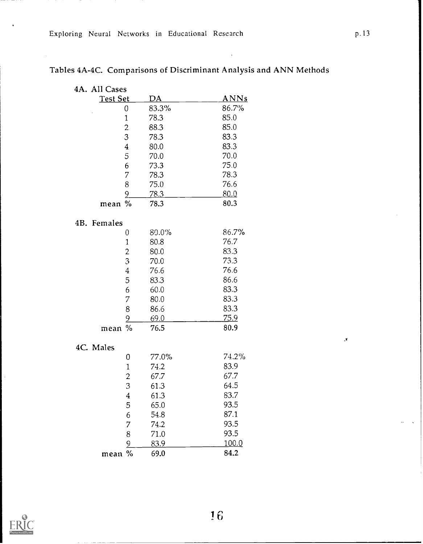| 4A. All Cases    |             |             |
|------------------|-------------|-------------|
| <b>Test Set</b>  | <u>DA</u>   | <u>ANNs</u> |
| 0                | 83.3%       | 86.7%       |
| $\mathbf 1$      | 78.3        | 85.0        |
| $\overline{c}$   | 88.3        | 85.0        |
| 3                | 78.3        | 83.3        |
| $\overline{4}$   | 80.0        | 83.3        |
| $\bar{5}$        | 70.0        | 70.0        |
| 6                | 73.3        | 75.0        |
| 7                | 78.3        | 78.3        |
| 8                | 75.0        | 76.6        |
| $\overline{9}$   | <u>78.3</u> | 80.0        |
| $\%$<br>mean     | 78.3        | 80.3        |
| 4B. Females      |             |             |
| 0                | 80.0%       | 86.7%       |
| $\mathbf 1$      | 80.8        | 76.7        |
| $\overline{c}$   | 80.0        | 83.3        |
| 3                | 70.0        | 73.3        |
| $\boldsymbol{4}$ | 76.6        | 76.6        |
| 5                | 83.3        | 86.6        |
| 6                | 60.0        | 83.3        |
| 7                | 80.0        | 83.3        |
| 8                | 86.6        | 83.3        |
| 9                | 69.0        | 75.9        |
| mean %           | 76.5        | 80.9        |
| 4C. Males        |             |             |
| 0                | 77.0%       | 74.2%       |
| 1                | 74.2        | 83.9        |
| $\overline{c}$   | 67.7        | 67.7        |
| 3                | 61.3        | 64.5        |
| $\bf{4}$         | 61.3        | 83.7        |
| 5                | 65.0        | 93.5        |
| 6                | 54.8        | 87.1        |
| 7                | 74.2        | 93.5        |
| 8                | 71.0        | 93.5        |
| 9                | 83.9        | 100.0       |

mean % 69.0 84.2

# Tables 4A-4C. Comparisons of Discriminant Analysis and ANN Methods



 $\bar{\mathbf{y}}$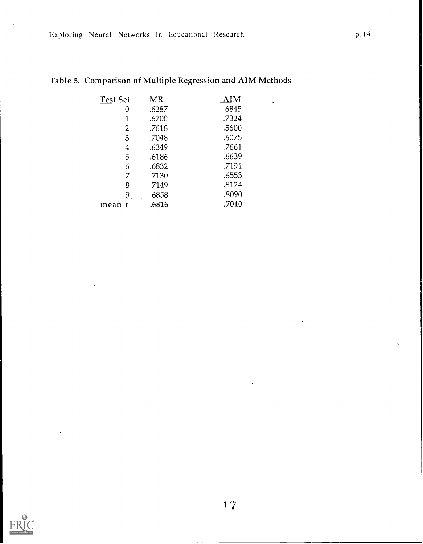| <b>Test Set</b> |   | MR    | AIM   |
|-----------------|---|-------|-------|
|                 | 0 | .6287 | .6845 |
|                 |   | .6700 | .7324 |
|                 | 2 | .7618 | .5600 |
|                 | 3 | .7048 | .6075 |
|                 | 4 | .6349 | .7661 |
|                 | 5 | .6186 | .6639 |
|                 | 6 | .6832 | .7191 |
|                 | 7 | .7130 | .6553 |
|                 | 8 | .7149 | .8124 |
|                 | 9 | .6858 | .8090 |
| mean r          |   | .6816 | .7010 |

|  | Table 5. Comparison of Multiple Regression and AIM Methods |  |  |
|--|------------------------------------------------------------|--|--|
|--|------------------------------------------------------------|--|--|